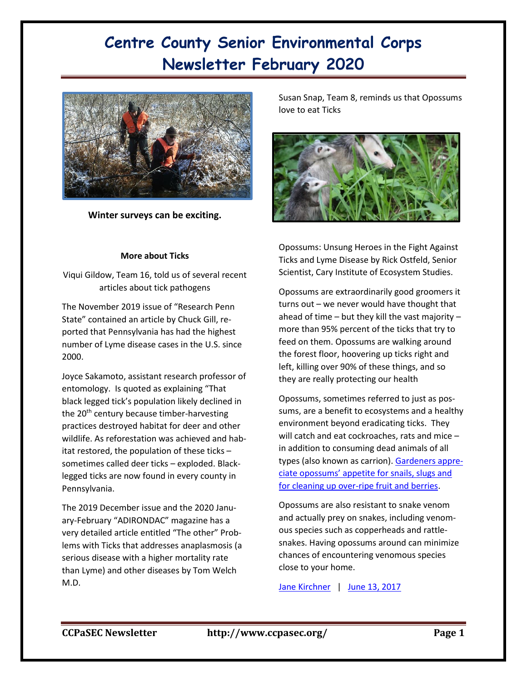# **Centre County Senior Environmental Corps Newsletter February 2020**



**Winter surveys can be exciting.**

## **More about Ticks**

Viqui Gildow, Team 16, told us of several recent articles about tick pathogens

The November 2019 issue of "Research Penn State" contained an article by Chuck Gill, reported that Pennsylvania has had the highest number of Lyme disease cases in the U.S. since 2000.

Joyce Sakamoto, assistant research professor of entomology. Is quoted as explaining "That black legged tick's population likely declined in the  $20<sup>th</sup>$  century because timber-harvesting practices destroyed habitat for deer and other wildlife. As reforestation was achieved and habitat restored, the population of these ticks – sometimes called deer ticks – exploded. Blacklegged ticks are now found in every county in Pennsylvania.

The 2019 December issue and the 2020 January-February "ADIRONDAC" magazine has a very detailed article entitled "The other" Problems with Ticks that addresses anaplasmosis (a serious disease with a higher mortality rate than Lyme) and other diseases by Tom Welch M.D.

Susan Snap, Team 8, reminds us that Opossums love to eat Ticks



Opossums: Unsung Heroes in the Fight Against Ticks and Lyme Disease by Rick Ostfeld, Senior Scientist, Cary Institute of Ecosystem Studies.

Opossums are extraordinarily good groomers it turns out – we never would have thought that ahead of time  $-$  but they kill the vast majority  $$ more than 95% percent of the ticks that try to feed on them. Opossums are walking around the forest floor, hoovering up ticks right and left, killing over 90% of these things, and so they are really protecting our health

Opossums, sometimes referred to just as possums, are a benefit to ecosystems and a healthy environment beyond eradicating ticks. They will catch and eat cockroaches, rats and mice – in addition to consuming dead animals of all types (also known as carrion)[. Gardeners appre](http://blog.nwf.org/2014/07/opossums-and-gardening-a-few-things-to-know/)[ciate opossums' appetite for snails, slugs and](http://blog.nwf.org/2014/07/opossums-and-gardening-a-few-things-to-know/)  [for cleaning up over-ripe fruit and berries.](http://blog.nwf.org/2014/07/opossums-and-gardening-a-few-things-to-know/)

Opossums are also resistant to snake venom and actually prey on snakes, including venomous species such as copperheads and rattlesnakes. Having opossums around can minimize chances of encountering venomous species close to your home.

[Jane Kirchner](https://blog.nwf.org/authors/jane-kirchner/) | June 13, 2017